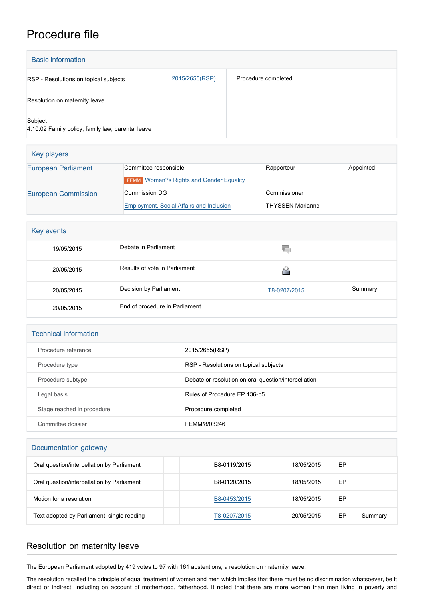## Procedure file

| <b>Basic information</b>                                     |                |                     |  |
|--------------------------------------------------------------|----------------|---------------------|--|
| RSP - Resolutions on topical subjects                        | 2015/2655(RSP) | Procedure completed |  |
| Resolution on maternity leave                                |                |                     |  |
| Subject<br>4.10.02 Family policy, family law, parental leave |                |                     |  |

| Key players                |                                                 |                         |           |
|----------------------------|-------------------------------------------------|-------------------------|-----------|
| <b>European Parliament</b> | Committee responsible                           | Rapporteur              | Appointed |
|                            | <b>FEMM</b> Women?s Rights and Gender Equality  |                         |           |
| <b>European Commission</b> | <b>Commission DG</b>                            | Commissioner            |           |
|                            | <b>Employment, Social Affairs and Inclusion</b> | <b>THYSSEN Marianne</b> |           |

| Key events |                                |              |         |  |
|------------|--------------------------------|--------------|---------|--|
| 19/05/2015 | Debate in Parliament           | V.           |         |  |
| 20/05/2015 | Results of vote in Parliament  |              |         |  |
| 20/05/2015 | Decision by Parliament         | T8-0207/2015 | Summary |  |
| 20/05/2015 | End of procedure in Parliament |              |         |  |

| <b>Technical information</b> |                                                      |  |  |
|------------------------------|------------------------------------------------------|--|--|
| Procedure reference          | 2015/2655(RSP)                                       |  |  |
| Procedure type               | RSP - Resolutions on topical subjects                |  |  |
| Procedure subtype            | Debate or resolution on oral question/interpellation |  |  |
| Legal basis                  | Rules of Procedure EP 136-p5                         |  |  |
| Stage reached in procedure   | Procedure completed                                  |  |  |
| Committee dossier            | FEMM/8/03246                                         |  |  |

| Documentation gateway                      |              |            |    |         |
|--------------------------------------------|--------------|------------|----|---------|
| Oral question/interpellation by Parliament | B8-0119/2015 | 18/05/2015 | EP |         |
| Oral question/interpellation by Parliament | B8-0120/2015 | 18/05/2015 | EP |         |
| Motion for a resolution                    | B8-0453/2015 | 18/05/2015 | EP |         |
| Text adopted by Parliament, single reading | T8-0207/2015 | 20/05/2015 | EP | Summary |

## Resolution on maternity leave

The European Parliament adopted by 419 votes to 97 with 161 abstentions, a resolution on maternity leave.

The resolution recalled the principle of equal treatment of women and men which implies that there must be no discrimination whatsoever, be it direct or indirect, including on account of motherhood, fatherhood. It noted that there are more women than men living in poverty and